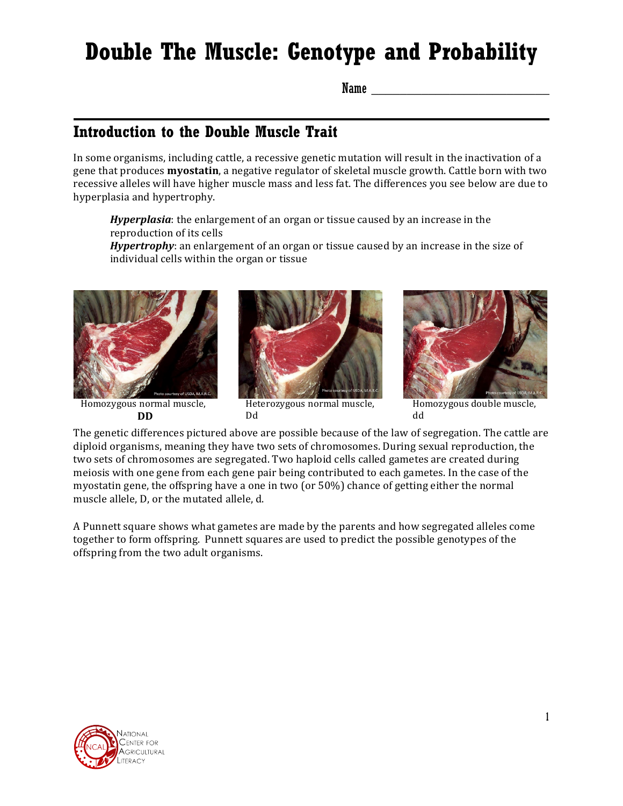# **Double The Muscle: Genotype and Probability**

Name \_\_\_\_\_\_\_\_\_\_\_\_\_\_\_\_\_\_\_\_\_\_\_\_\_

### **Introduction to the Double Muscle Trait**

In some organisms, including cattle, a recessive genetic mutation will result in the inactivation of a gene that produces **myostatin**, a negative regulator of skeletal muscle growth. Cattle born with two recessive alleles will have higher muscle mass and less fat. The differences you see below are due to hyperplasia and hypertrophy.

*Hyperplasia*: the enlargement of an organ or tissue caused by an increase in the reproduction of its cells

Hypertrophy: an enlargement of an organ or tissue caused by an increase in the size of individual cells within the organ or tissue



Homozygous normal muscle, **DD**



Heterozygous normal muscle, Dd



Homozygous double muscle, dd

The genetic differences pictured above are possible because of the law of segregation. The cattle are diploid organisms, meaning they have two sets of chromosomes. During sexual reproduction, the two sets of chromosomes are segregated. Two haploid cells called gametes are created during meiosis with one gene from each gene pair being contributed to each gametes. In the case of the myostatin gene, the offspring have a one in two (or  $50\%$ ) chance of getting either the normal muscle allele, D, or the mutated allele, d.

A Punnett square shows what gametes are made by the parents and how segregated alleles come together to form offspring. Punnett squares are used to predict the possible genotypes of the offspring from the two adult organisms.

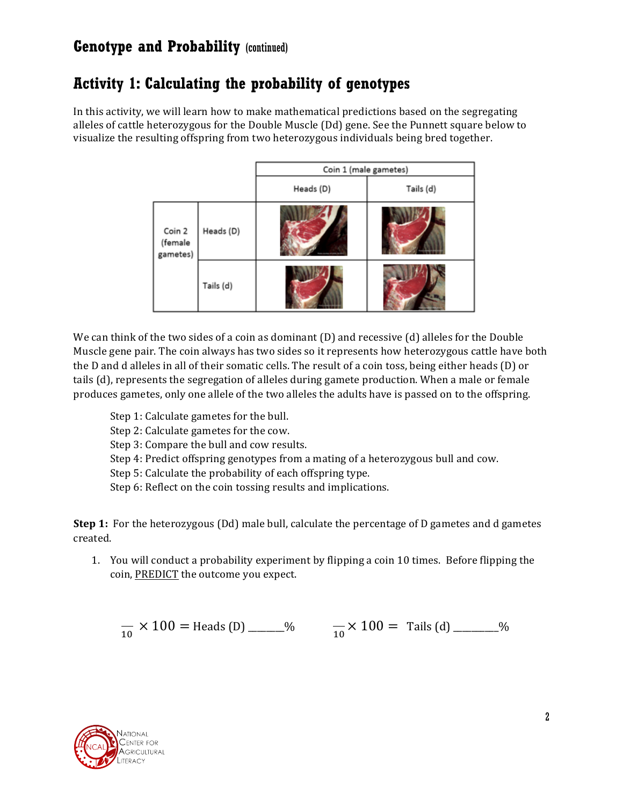## **Activity 1: Calculating the probability of genotypes**

In this activity, we will learn how to make mathematical predictions based on the segregating alleles of cattle heterozygous for the Double Muscle (Dd) gene. See the Punnett square below to visualize the resulting offspring from two heterozygous individuals being bred together.

|                               |           | Coin 1 (male gametes) |           |  |
|-------------------------------|-----------|-----------------------|-----------|--|
|                               |           | Heads (D)             | Tails (d) |  |
| Coin 2<br>(female<br>gametes) | Heads (D) | month, to Ark         |           |  |
|                               | Tails (d) |                       |           |  |

We can think of the two sides of a coin as dominant  $(D)$  and recessive  $(d)$  alleles for the Double Muscle gene pair. The coin always has two sides so it represents how heterozygous cattle have both the D and d alleles in all of their somatic cells. The result of a coin toss, being either heads (D) or tails (d), represents the segregation of alleles during gamete production. When a male or female produces gametes, only one allele of the two alleles the adults have is passed on to the offspring.

- Step 1: Calculate gametes for the bull.
- Step 2: Calculate gametes for the cow.
- Step 3: Compare the bull and cow results.
- Step 4: Predict offspring genotypes from a mating of a heterozygous bull and cow.
- Step 5: Calculate the probability of each offspring type.
- Step 6: Reflect on the coin tossing results and implications.

**Step 1:** For the heterozygous (Dd) male bull, calculate the percentage of D gametes and d gametes created.

1. You will conduct a probability experiment by flipping a coin 10 times. Before flipping the coin, PREDICT the outcome you expect.

$$
\frac{1}{10} \times 100 = \text{Heads (D)}
$$
  $\frac{10}{10}$ 

 $\frac{1}{10}$  × 100 = Tails (d) \_\_\_\_\_\_%

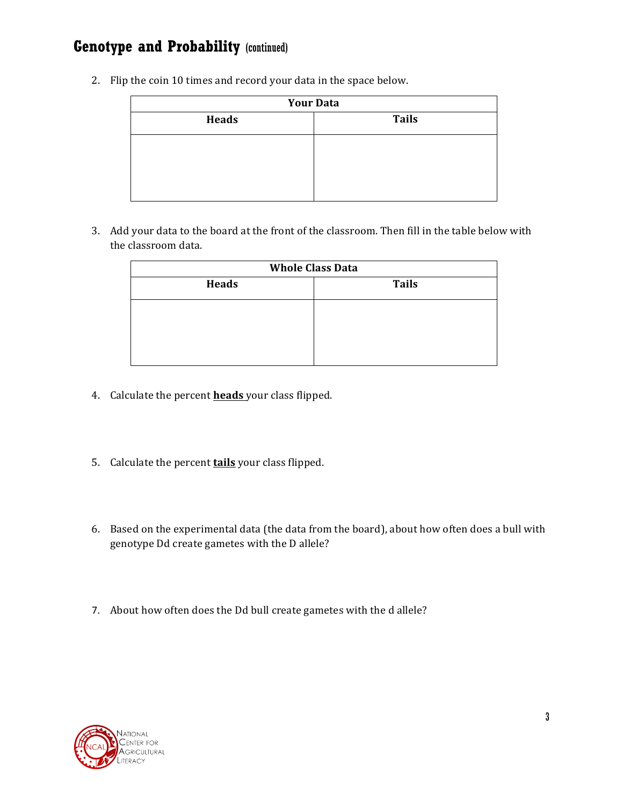2. Flip the coin 10 times and record your data in the space below.

| <b>Your Data</b> |              |  |  |
|------------------|--------------|--|--|
| <b>Heads</b>     | <b>Tails</b> |  |  |
|                  |              |  |  |
|                  |              |  |  |
|                  |              |  |  |
|                  |              |  |  |

3. Add your data to the board at the front of the classroom. Then fill in the table below with the classroom data.

| <b>Whole Class Data</b> |              |  |  |  |
|-------------------------|--------------|--|--|--|
| <b>Heads</b>            | <b>Tails</b> |  |  |  |
|                         |              |  |  |  |
|                         |              |  |  |  |
|                         |              |  |  |  |
|                         |              |  |  |  |

- 4. Calculate the percent **heads** your class flipped.
- 5. Calculate the percent **tails** your class flipped.
- 6. Based on the experimental data (the data from the board), about how often does a bull with genotype Dd create gametes with the D allele?
- 7. About how often does the Dd bull create gametes with the d allele?

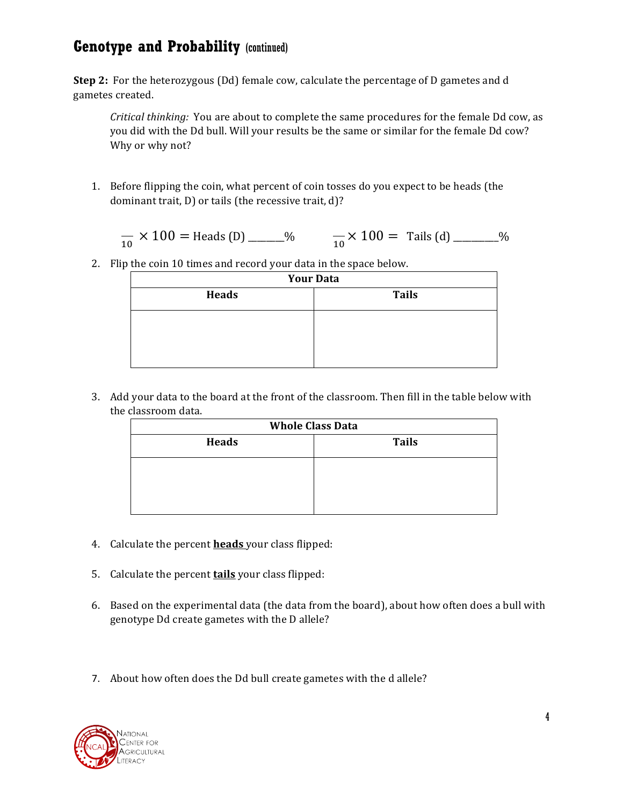**Step 2:** For the heterozygous (Dd) female cow, calculate the percentage of D gametes and d gametes created.

*Critical thinking:* You are about to complete the same procedures for the female Dd cow, as you did with the Dd bull. Will your results be the same or similar for the female Dd cow? Why or why not?

1. Before flipping the coin, what percent of coin tosses do you expect to be heads (the dominant trait, D) or tails (the recessive trait, d)?

$$
\frac{1}{10} \times 100 = \text{Heads (D)}
$$
  $\frac{1}{10} \times 100 = \text{Tails (d)}$ 

2. Flip the coin 10 times and record your data in the space below.

| <b>Your Data</b> |              |  |  |
|------------------|--------------|--|--|
| <b>Heads</b>     | <b>Tails</b> |  |  |
|                  |              |  |  |
|                  |              |  |  |
|                  |              |  |  |
|                  |              |  |  |

3. Add your data to the board at the front of the classroom. Then fill in the table below with the classroom data.

| <b>Whole Class Data</b> |              |  |  |
|-------------------------|--------------|--|--|
| <b>Heads</b>            | <b>Tails</b> |  |  |
|                         |              |  |  |
|                         |              |  |  |
|                         |              |  |  |

- 4. Calculate the percent **heads** your class flipped:
- 5. Calculate the percent **tails** your class flipped:
- 6. Based on the experimental data (the data from the board), about how often does a bull with genotype Dd create gametes with the D allele?
- 7. About how often does the Dd bull create gametes with the d allele?

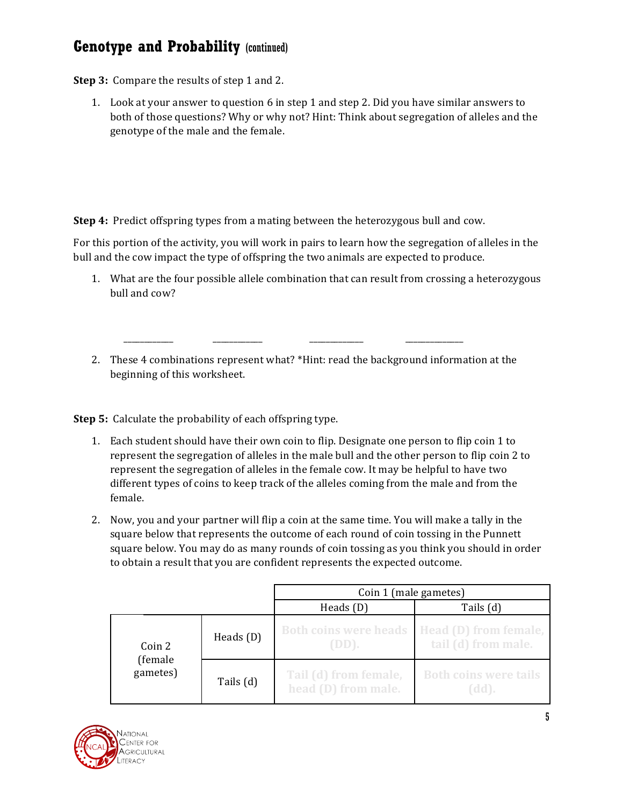**Step 3:** Compare the results of step 1 and 2.

1. Look at your answer to question 6 in step 1 and step 2. Did you have similar answers to both of those questions? Why or why not? Hint: Think about segregation of alleles and the genotype of the male and the female.

**Step 4:** Predict offspring types from a mating between the heterozygous bull and cow.

 \_\_\_\_\_\_\_\_\_\_\_\_ \_\_\_\_\_\_\_\_\_\_\_\_ \_\_\_\_\_\_\_\_\_\_\_\_\_ \_\_\_\_\_\_\_\_\_\_\_\_\_\_

For this portion of the activity, you will work in pairs to learn how the segregation of alleles in the bull and the cow impact the type of offspring the two animals are expected to produce.

- 1. What are the four possible allele combination that can result from crossing a heterozygous bull and cow?
- 2. These 4 combinations represent what? \*Hint: read the background information at the beginning of this worksheet.

**Step 5:** Calculate the probability of each offspring type.

- 1. Each student should have their own coin to flip. Designate one person to flip coin 1 to represent the segregation of alleles in the male bull and the other person to flip coin 2 to represent the segregation of alleles in the female cow. It may be helpful to have two different types of coins to keep track of the alleles coming from the male and from the female.
- 2. Now, you and your partner will flip a coin at the same time. You will make a tally in the square below that represents the outcome of each round of coin tossing in the Punnett square below. You may do as many rounds of coin tossing as you think you should in order to obtain a result that you are confident represents the expected outcome.

|                     |             | Coin 1 (male gametes)                        |                                              |  |
|---------------------|-------------|----------------------------------------------|----------------------------------------------|--|
|                     |             | Heads $(D)$                                  | Tails (d)                                    |  |
| Coin 2              | Heads $(D)$ | <b>Both coins were heads</b><br>$(DD)$ .     | Head (D) from female,<br>tail (d) from male. |  |
| (female<br>gametes) | Tails (d)   | Tail (d) from female,<br>head (D) from male. | <b>Both coins were tails</b><br>(dd).        |  |

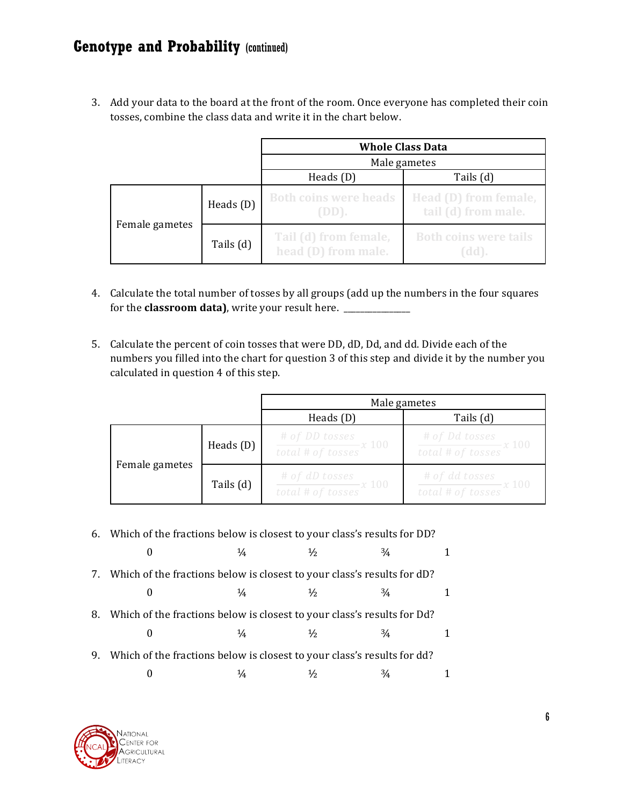3. Add your data to the board at the front of the room. Once everyone has completed their coin tosses, combine the class data and write it in the chart below.

|                |             | <b>Whole Class Data</b>                      |                                              |  |
|----------------|-------------|----------------------------------------------|----------------------------------------------|--|
|                |             | Male gametes                                 |                                              |  |
|                |             | Heads $(D)$<br>Tails (d)                     |                                              |  |
|                | Heads $(D)$ | <b>Both coins were heads</b><br>$(DD)$ .     | Head (D) from female,<br>tail (d) from male. |  |
| Female gametes | Tails (d)   | Tail (d) from female,<br>head (D) from male. | <b>Both coins were tails</b><br>(dd).        |  |

- 4. Calculate the total number of tosses by all groups (add up the numbers in the four squares for the **classroom data)**, write your result here. \_\_\_\_\_\_\_\_\_\_\_\_\_
- 5. Calculate the percent of coin tosses that were DD, dD, Dd, and dd. Divide each of the numbers you filled into the chart for question 3 of this step and divide it by the number you calculated in question 4 of this step.

|                |             | Male gametes                                                               |                                                              |
|----------------|-------------|----------------------------------------------------------------------------|--------------------------------------------------------------|
|                |             | Heads $(D)$                                                                | Tails (d)                                                    |
|                | Heads $(D)$ | # of DD tosses<br>$\frac{1}{\text{total} + \text{of tosses}} x 100$        | # of Dd tosses<br>$\frac{1}{\text{total # of tosses}} x 100$ |
| Female gametes | Tails (d)   | $\frac{\# of \; dD \; tosses}{\text{total} \; # \; of \; tosses} x \; 100$ | $\frac{\# of dd tosses}{total \# of tosses} x 100$           |

6. Which of the fractions below is closest to your class's results for DD?

|    |                                                                            | $\frac{1}{4}$ | $\frac{1}{2}$ | $\frac{3}{4}$ |  |
|----|----------------------------------------------------------------------------|---------------|---------------|---------------|--|
|    | 7. Which of the fractions below is closest to your class's results for dD? |               |               |               |  |
|    |                                                                            | $\frac{1}{4}$ | $\frac{1}{2}$ | $\frac{3}{4}$ |  |
| 8. | Which of the fractions below is closest to your class's results for Dd?    |               |               |               |  |
|    |                                                                            | 1/4           | $\frac{1}{2}$ | $\frac{3}{4}$ |  |
| 9. | Which of the fractions below is closest to your class's results for dd?    |               |               |               |  |
|    |                                                                            |               |               |               |  |